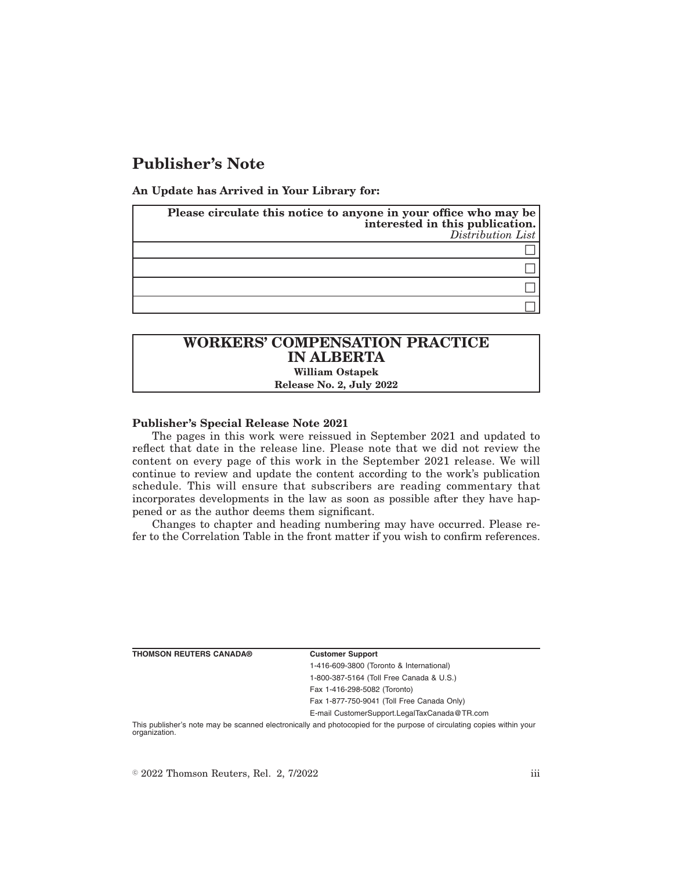# **Publisher's Note**

**An Update has Arrived in Your Library for:**

| Please circulate this notice to anyone in your office who may be<br>interested in this publication.<br>Distribution List |
|--------------------------------------------------------------------------------------------------------------------------|
|                                                                                                                          |
|                                                                                                                          |
|                                                                                                                          |
|                                                                                                                          |

## **WORKERS' COMPENSATION PRACTICE IN ALBERTA William Ostapek**

**Release No. 2, July 2022**

### **Publisher's Special Release Note 2021**

The pages in this work were reissued in September 2021 and updated to reflect that date in the release line. Please note that we did not review the content on every page of this work in the September 2021 release. We will continue to review and update the content according to the work's publication schedule. This will ensure that subscribers are reading commentary that incorporates developments in the law as soon as possible after they have happened or as the author deems them significant.

Changes to chapter and heading numbering may have occurred. Please refer to the Correlation Table in the front matter if you wish to confirm references.

**Customer Support** 

1-416-609-3800 (Toronto & International) 1-800-387-5164 (Toll Free Canada & U.S.) Fax 1-416-298-5082 (Toronto) Fax 1-877-750-9041 (Toll Free Canada Only)

E-mail CustomerSupport.LegalTaxCanada@TR.com

This publisher's note may be scanned electronically and photocopied for the purpose of circulating copies within your organization.

 $\degree$  2022 Thomson Reuters, Rel. 2, 7/2022 iii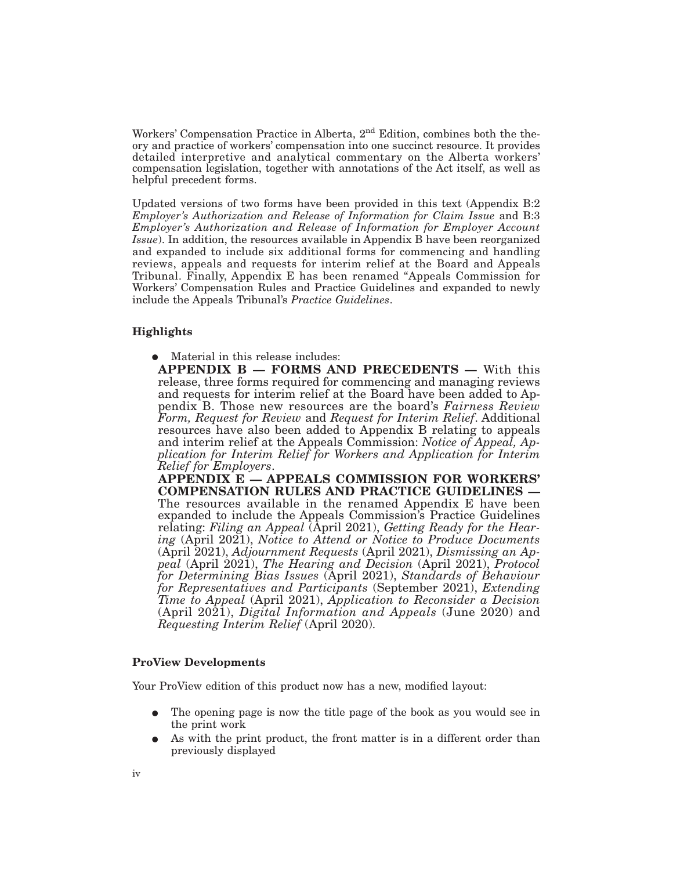Workers' Compensation Practice in Alberta, 2<sup>nd</sup> Edition, combines both the theory and practice of workers' compensation into one succinct resource. It provides detailed interpretive and analytical commentary on the Alberta workers' compensation legislation, together with annotations of the Act itself, as well as helpful precedent forms.

Updated versions of two forms have been provided in this text (Appendix B:2 *Employer's Authorization and Release of Information for Claim Issue* and B:3 *Employer's Authorization and Release of Information for Employer Account Issue*). In addition, the resources available in Appendix B have been reorganized and expanded to include six additional forms for commencing and handling reviews, appeals and requests for interim relief at the Board and Appeals Tribunal. Finally, Appendix E has been renamed "Appeals Commission for Workers' Compensation Rules and Practice Guidelines and expanded to newly include the Appeals Tribunal's *Practice Guidelines*.

### **Highlights**

Material in this release includes:

**APPENDIX B — FORMS AND PRECEDENTS —** With this release, three forms required for commencing and managing reviews and requests for interim relief at the Board have been added to Appendix B. Those new resources are the board's *Fairness Review Form, Request for Review* and *Request for Interim Relief*. Additional resources have also been added to Appendix B relating to appeals and interim relief at the Appeals Commission: *Notice of Appeal, Application for Interim Relief for Workers and Application for Interim Relief for Employers*.

**APPENDIX E — APPEALS COMMISSION FOR WORKERS' COMPENSATION RULES AND PRACTICE GUIDELINES —** The resources available in the renamed Appendix E have been expanded to include the Appeals Commission's Practice Guidelines relating: *Filing an Appeal* (April 2021), *Getting Ready for the Hearing* (April 2021), *Notice to Attend or Notice to Produce Documents* (April 2021), *Adjournment Requests* (April 2021), *Dismissing an Appeal* (April 2021), *The Hearing and Decision* (April 2021), *Protocol for Determining Bias Issues* (April 2021), *Standards of Behaviour for Representatives and Participants* (September 2021), *Extending Time to Appeal* (April 2021), *Application to Reconsider a Decision* (April 2021), *Digital Information and Appeals* (June 2020) and *Requesting Interim Relief* (April 2020).

#### **ProView Developments**

Your ProView edition of this product now has a new, modified layout:

- The opening page is now the title page of the book as you would see in the print work
- As with the print product, the front matter is in a different order than previously displayed